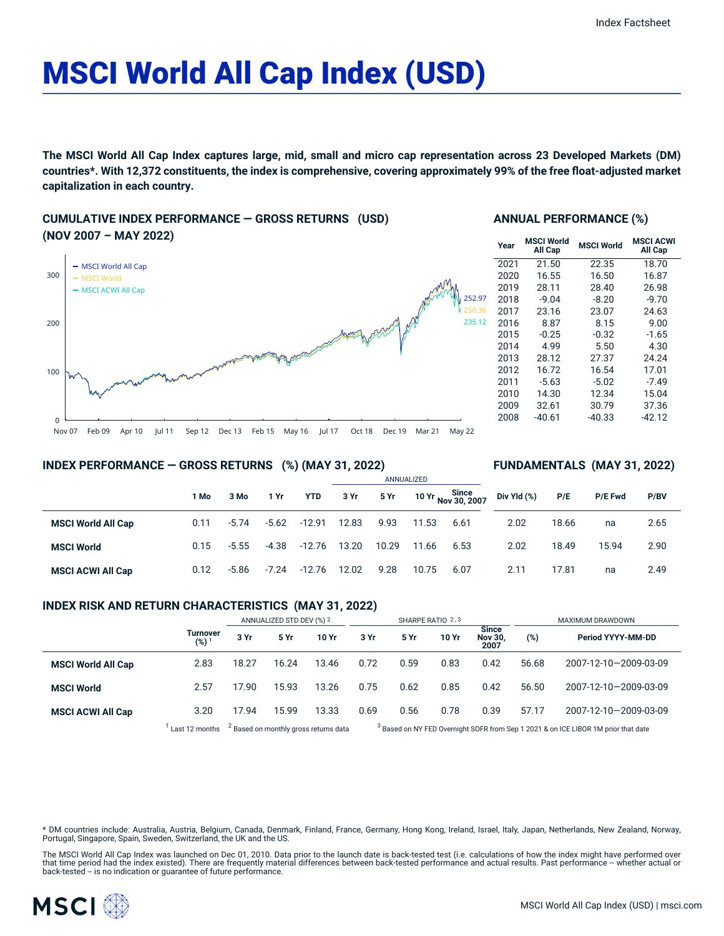# MSCI World All Cap Index (USD)

The MSCI World All Cap Index captures large, mid, small and micro cap representation across 23 Developed Markets (DM) countries\*. With 12,372 constituents, the index is comprehensive, covering approximately 99% of the free float-adjusted market **capitalization in each country.**

## **CUMULATIVE INDEX PERFORMANCE — GROSS RETURNS (USD) (NOV 2007 – MAY 2022)**



## **ANNUAL PERFORMANCE (%)**

| Year | <b>MSCI World</b><br>All Cap | <b>MSCI World</b> | <b>MSCI ACWI</b><br>All Cap |
|------|------------------------------|-------------------|-----------------------------|
| 2021 | 21.50                        | 22.35             | 18.70                       |
| 2020 | 16.55                        | 16.50             | 16.87                       |
| 2019 | 28.11                        | 28.40             | 26.98                       |
| 2018 | $-9.04$                      | $-8.20$           | $-9.70$                     |
| 2017 | 23.16                        | 23.07             | 24.63                       |
| 2016 | 8.87                         | 8.15              | 9.00                        |
| 2015 | $-0.25$                      | $-0.32$           | $-1.65$                     |
| 2014 | 4.99                         | 5.50              | 4.30                        |
| 2013 | 28.12                        | 27.37             | 24.24                       |
| 2012 | 16.72                        | 16.54             | 17.01                       |
| 2011 | $-5.63$                      | $-5.02$           | $-7.49$                     |
| 2010 | 14.30                        | 12.34             | 15.04                       |
| 2009 | 32.61                        | 30.79             | 37.36                       |
| 2008 | $-40.61$                     | $-40.33$          | -42.12                      |

**FUNDAMENTALS (MAY 31, 2022)**

## **INDEX PERFORMANCE — GROSS RETURNS (%) (MAY 31, 2022)**

#### ANNUALIZED **1 Mo 3 Mo 1 Yr YTD 3 Yr 5 Yr 10 Yr Since Nov 30, 2007 MSCI World All Cap** 0.11 -5.74 -5.62 -12.91 12.83 9.93 11.53 6.61 **MSCI World** 0.15 -5.55 -4.38 -12.76 13.20 10.29 11.66 6.53 **MSCI ACWI All Cap** 0.12 -5.86 -7.24 -12.76 12.02 9.28 10.75 6.07 **Div Yld (%) P/E P/E Fwd P/BV** 2.02 18.66 na 2.65 2.02 18.49 15.94 2.90 2.11 17.81 na 2.49

## **INDEX RISK AND RETURN CHARACTERISTICS (MAY 31, 2022)**

|                           |                        | ANNUALIZED STD DEV (%) 2 |       | SHARPE RATIO 2,3                                 |      |      |       | MAXIMUM DRAWDOWN                       |       |                                                                                               |
|---------------------------|------------------------|--------------------------|-------|--------------------------------------------------|------|------|-------|----------------------------------------|-------|-----------------------------------------------------------------------------------------------|
|                           | <b>Turnover</b><br>(%) | 3 Yr                     | 5 Yr  | 10 Yr                                            | 3 Yr | 5 Yr | 10 Yr | <b>Since</b><br><b>Nov 30,</b><br>2007 | (%)   | Period YYYY-MM-DD                                                                             |
| <b>MSCI World All Cap</b> | 2.83                   | 18.27                    | 16.24 | 13.46                                            | 0.72 | 0.59 | 0.83  | 0.42                                   | 56.68 | 2007-12-10-2009-03-09                                                                         |
| <b>MSCI World</b>         | 2.57                   | 17.90                    | 15.93 | 13.26                                            | 0.75 | 0.62 | 0.85  | 0.42                                   | 56.50 | 2007-12-10-2009-03-09                                                                         |
| <b>MSCI ACWI All Cap</b>  | 3.20                   | 17.94                    | 15.99 | 13.33                                            | 0.69 | 0.56 | 0.78  | 0.39                                   | 57.17 | 2007-12-10-2009-03-09                                                                         |
|                           | Last 12 months         |                          |       | <sup>2</sup> Based on monthly gross returns data |      |      |       |                                        |       | <sup>3</sup> Based on NY FED Overnight SOFR from Sep 1 2021 & on ICE LIBOR 1M prior that date |

\* DM countries include: Australia, Austria, Belgium, Canada, Denmark, Finland, France, Germany, Hong Kong, Ireland, Israel, Italy, Japan, Netherlands, New Zealand, Norway,<br>Portugal, Singapore, Spain, Sweden, Switzerland, t

The MSCI World All Cap Index was launched on Dec 01, 2010. Data prior to the launch date is back-tested test (i.e. calculations of how the index might have performed over that time period had the index existed). There are frequently material differences between back-tested performance and actual results. Past performance -- whether actual or<br>back-tested -- is no indication or guarantee of f

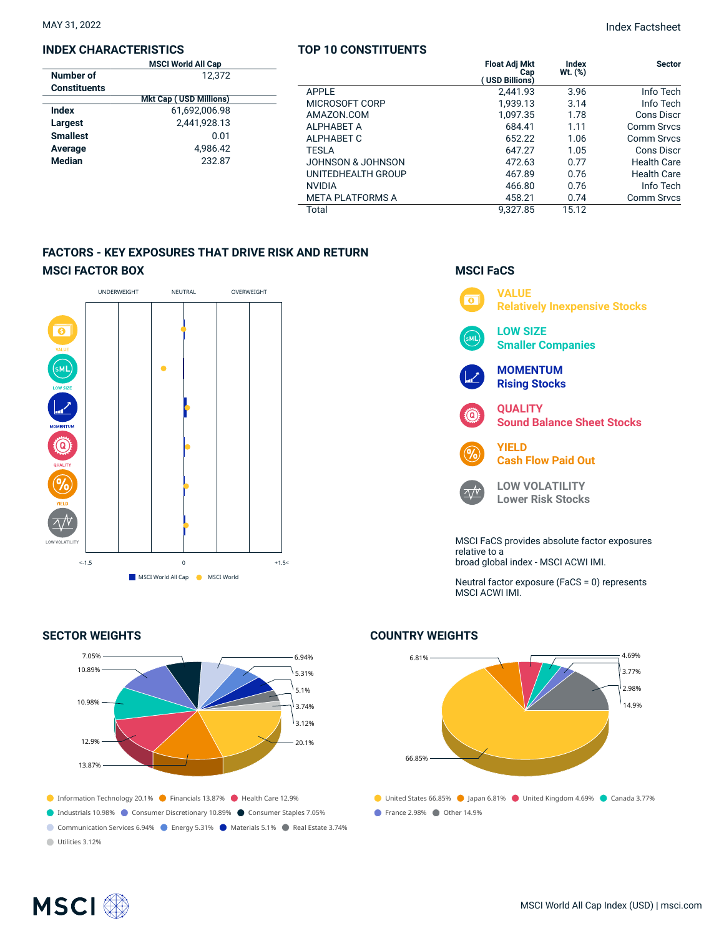#### **INDEX CHARACTERISTICS**

|                     | <b>MSCI World All Cap</b>     |  |  |  |
|---------------------|-------------------------------|--|--|--|
| Number of           | 12.372                        |  |  |  |
| <b>Constituents</b> |                               |  |  |  |
|                     | <b>Mkt Cap (USD Millions)</b> |  |  |  |
| Index               | 61,692,006.98                 |  |  |  |
| Largest             | 2,441,928.13                  |  |  |  |
| <b>Smallest</b>     | 0.01                          |  |  |  |
| Average             | 4.986.42                      |  |  |  |
| <b>Median</b>       | 232.87                        |  |  |  |
|                     |                               |  |  |  |

## **TOP 10 CONSTITUENTS**

|                         | <b>Float Adj Mkt</b><br>Cap<br><b>USD Billions)</b> | Index<br>$Wt.$ $(\%)$ | <b>Sector</b>      |
|-------------------------|-----------------------------------------------------|-----------------------|--------------------|
| <b>APPIF</b>            | 2.441.93                                            | 3.96                  | Info Tech          |
| MICROSOFT CORP          | 1.939.13                                            | 3.14                  | Info Tech          |
| AMAZON.COM              | 1.097.35                                            | 1.78                  | Cons Discr         |
| <b>ALPHABET A</b>       | 684.41                                              | 1.11                  | Comm Srvcs         |
| ALPHABET C              | 652.22                                              | 1.06                  | Comm Srvcs         |
| TESLA                   | 647.27                                              | 1.05                  | Cons Discr         |
| JOHNSON & JOHNSON       | 472.63                                              | 0.77                  | <b>Health Care</b> |
| UNITEDHEALTH GROUP      | 467.89                                              | 0.76                  | <b>Health Care</b> |
| <b>NVIDIA</b>           | 466.80                                              | 0.76                  | Info Tech          |
| <b>META PLATFORMS A</b> | 458.21                                              | 0.74                  | <b>Comm Srvcs</b>  |
| Total                   | 9.327.85                                            | 15.12                 |                    |
|                         |                                                     |                       |                    |

## **FACTORS - KEY EXPOSURES THAT DRIVE RISK AND RETURN MSCI FACTOR BOX**



## **SECTOR WEIGHTS**



## **MSCI FaCS**



Neutral factor exposure (FaCS = 0) represents MSCI ACWI IMI.

# ● United States 66.85% ● Japan 6.81% ● United Kingdom 4.69% ● Canada 3.77% **C** France 2.98% Other 14.9% 6.81% 66.85% 4.69% 3.77% 2.98% 14.9%

## **COUNTRY WEIGHTS**